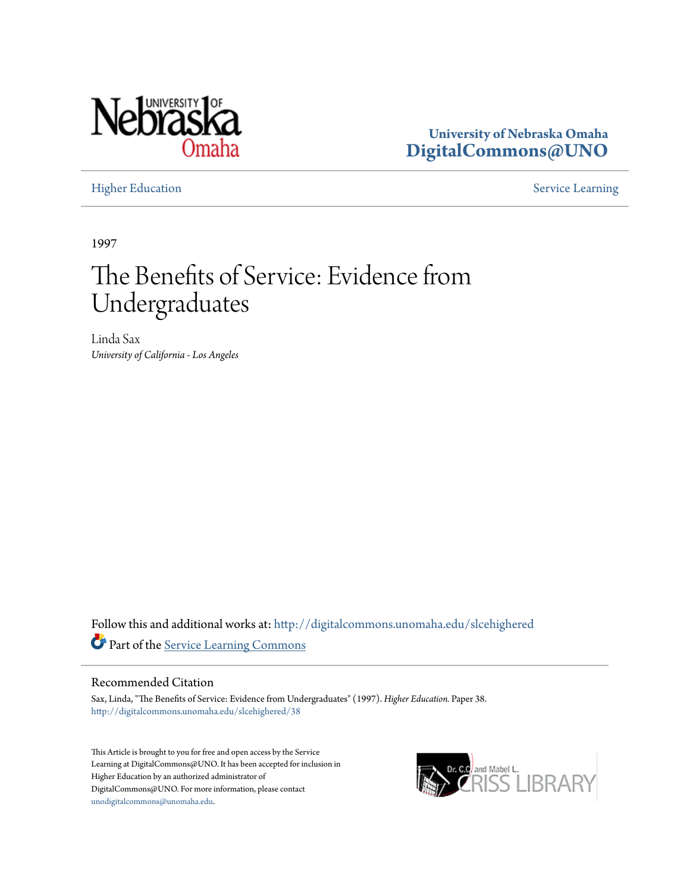

**University of Nebraska Omaha [DigitalCommons@UNO](http://digitalcommons.unomaha.edu?utm_source=digitalcommons.unomaha.edu%2Fslcehighered%2F38&utm_medium=PDF&utm_campaign=PDFCoverPages)**

[Higher Education](http://digitalcommons.unomaha.edu/slcehighered?utm_source=digitalcommons.unomaha.edu%2Fslcehighered%2F38&utm_medium=PDF&utm_campaign=PDFCoverPages) [Service Learning](http://digitalcommons.unomaha.edu/slceservicelearning?utm_source=digitalcommons.unomaha.edu%2Fslcehighered%2F38&utm_medium=PDF&utm_campaign=PDFCoverPages)

1997

# The Benefits of Service: Evidence from Undergraduates

Linda Sax *University of California - Los Angeles*

Follow this and additional works at: [http://digitalcommons.unomaha.edu/slcehighered](http://digitalcommons.unomaha.edu/slcehighered?utm_source=digitalcommons.unomaha.edu%2Fslcehighered%2F38&utm_medium=PDF&utm_campaign=PDFCoverPages) Part of the [Service Learning Commons](http://network.bepress.com/hgg/discipline/1024?utm_source=digitalcommons.unomaha.edu%2Fslcehighered%2F38&utm_medium=PDF&utm_campaign=PDFCoverPages)

#### Recommended Citation

Sax, Linda, "The Benefits of Service: Evidence from Undergraduates" (1997). *Higher Education.* Paper 38. [http://digitalcommons.unomaha.edu/slcehighered/38](http://digitalcommons.unomaha.edu/slcehighered/38?utm_source=digitalcommons.unomaha.edu%2Fslcehighered%2F38&utm_medium=PDF&utm_campaign=PDFCoverPages)

This Article is brought to you for free and open access by the Service Learning at DigitalCommons@UNO. It has been accepted for inclusion in Higher Education by an authorized administrator of DigitalCommons@UNO. For more information, please contact [unodigitalcommons@unomaha.edu](mailto:unodigitalcommons@unomaha.edu).

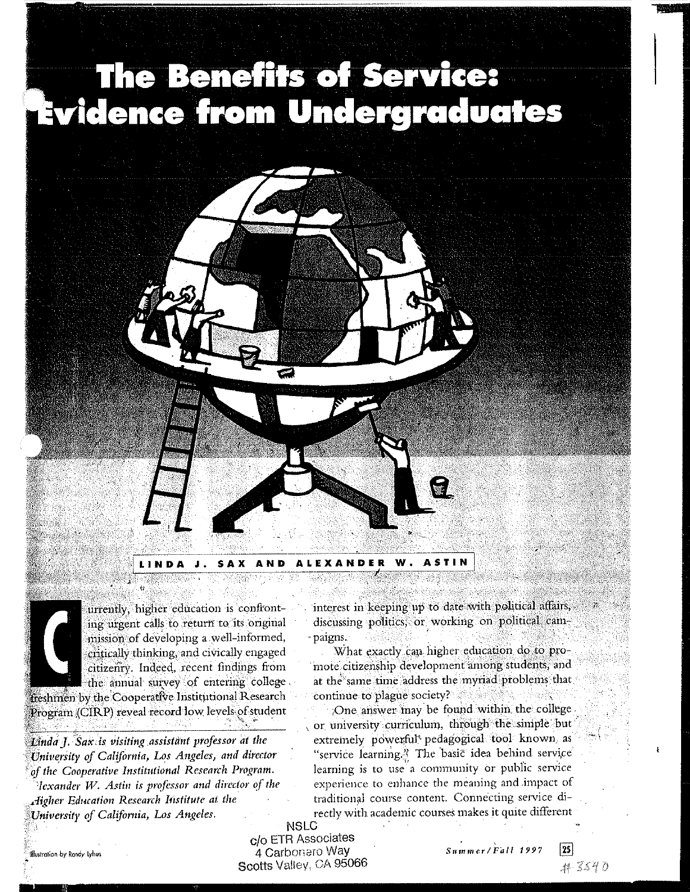# The Benefits of Service: Evidence from Undergraduates



**LINDA** A N D

urrently, higher education is confronting urgent calls to return to its original mission of developing a well-informed, critically thinking, and civically engaged citizenry. Indeed, recent findings from the annual survey of entering college.

freshmen by the Cooperative Institutional Research Program (CIRP) reveal record low levels of student

Linda J. Sax is visiting assistant professor at the University of California, Los Angeles, and director of the Cooperative Institutional Research Program. Hexander W. Astin is professor and director of the

Higher Education Research Institute at the University of California, Los Angeles.

interest in keeping up to date with political affairs, discussing politics, or working on political cam-- paigns.

What exactly can higher education do to promote citizenship development among students, and at the same time address the myriad problems that continue to plague society?

One answer may be found within the college or university curriculum, through the simple but extremely powerful<sup>t</sup> pedagogical tool known as "service learning." The basic idea behind service learning is to use a community or public service experience to enhance the meaning and impact of traditional course content. Connecting service directly with academic courses makes it quite different

**NSLC** c/o ETR Associates 4 Carbonaro Way Scotts Valley, CA 95066

Summer/Fall 1997



 $\sqrt{25}$ 

Illustration by Rondy Lylius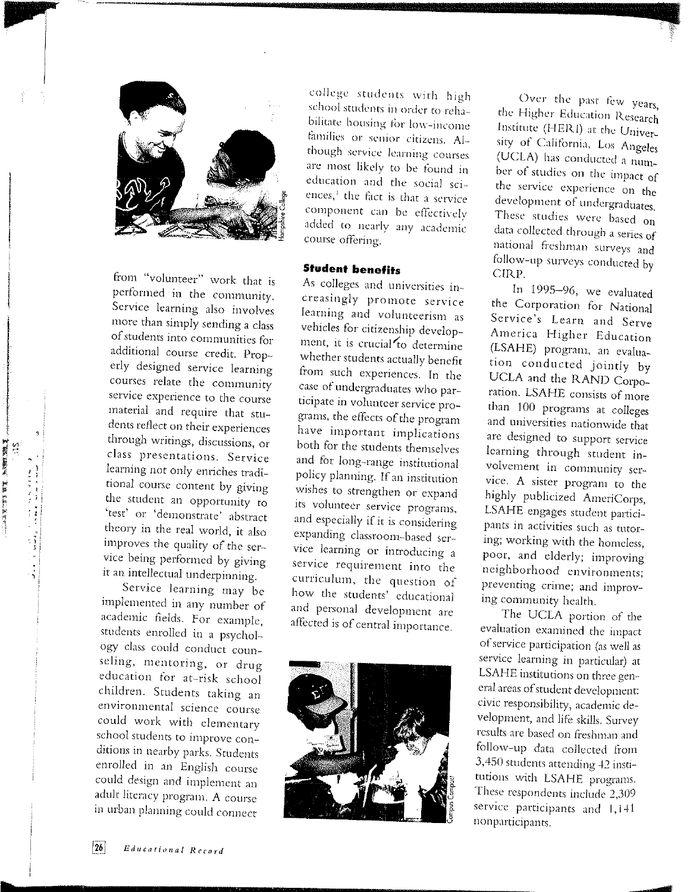

from "volunteer" work that is performed in the community. Service learning also involves more than simply sending a class of students into communities for additional course credit. Properly designed service learning courses relate the community service experience to the course material and require that students reflect on their experiences through writings, discussions, or class presentations. Service learning not only enriches traditional course content by giving the student an opportunity to 'test' or 'demonstrate' abstract theory in the real world, it also improves the quality of the service being performed by giving it an intellectual underpinning.

地震 (機能)

Service learning may be implemented in any number of academic fields. For example, students enrolled in a psychology class could conduct counseling, mentoring, or drug education for at-risk school children. Students taking an environmental science course could work with elementary school students to improve conditions in nearby parks. Students enrolled in an English course could design and implement an adult literacy program. A course in urban planning could connect

college students with high school students in order to rehabilitate housing for low-income families or senior citizens. Although service learning courses are most likely to be found in education and the social sciences,<sup>1</sup> the fact is that a service component can be effectively added to nearly any academic course offering.

# **Student benefits**

As colleges and universities increasingly promote service learning and volunteerism as vehicles for citizenship development, it is crucial to determine whether students actually benefit from such experiences. In the case of undergraduates who participate in volunteer service programs, the effects of the program have important implications both for the students themselves and for long-range institutional policy planning. If an institution wishes to strengthen or expand its volunteer service programs, and especially if it is considering expanding classroom-based service learning or introducing a service requirement into the curriculum, the question of how the students' educational and personal development are affected is of central importance.



Over the past few years, the Higher Education Research Institute (HERI) at the University of California, Los Angeles (UCLA) has conducted a number of studies on the impact of the service experience on the development of undergraduates. These studies were based on data collected through a series of national freshman surveys and follow-up surveys conducted by CIRP.

In 1995-96, we evaluated the Corporation for National Service's Learn and Serve America Higher Education (LSAHE) program, an evaluation conducted jointly by UCLA and the RAND Corporation. LSAHE consists of more than 100 programs at colleges and universities nationwide that are designed to support service learning through student involvement in community service. A sister program to the highly publicized AmeriCorps, LSAHE engages student participants in activities such as tutoring; working with the homeless, poor, and elderly; improving neighborhood environments; preventing crime; and improving community health.

The UCLA portion of the evaluation examined the impact of service participation (as well as service learning in particular) at LSAHE institutions on three general areas of student development: civic responsibility, academic development, and life skills. Survey results are based on freshman and follow-up data collected from 3,450 students attending 42 institutions with LSAHE programs. These respondents include 2,309 service participants and 1,141 nonparticipants.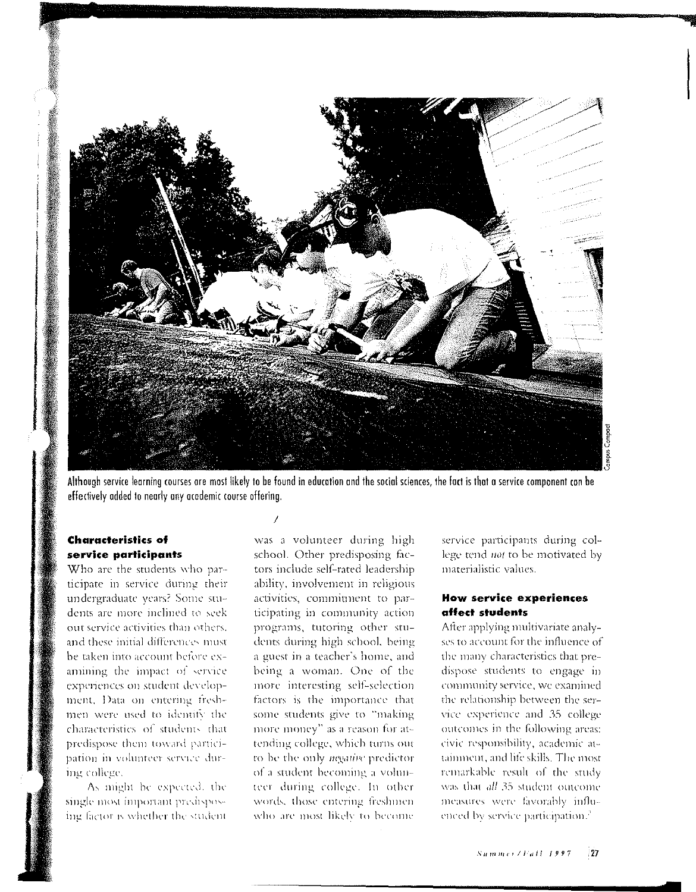

Although service learning courses are most likely to be found in education and the social sciences, the fact is that a service component can be effectively added to nearly any academic course offering.

## **Characteristics of** service participants

Who are the students who participate in service during their undergraduate years? Some students are more inclined to seek out service activities than others. and these initial differences must be taken into account before examining the impact of service experiences on student development. Data on entering freshmen were used to identify the characteristics of students that predispose them toward participation in volunteer service during college.

As might be expected, the single most important predisposing factor is whether the student

was a volunteer during high school. Other predisposing factors include self-rated leadership ability, involvement in religious activities, commitment to participating in community action programs, tutoring other students during high school, being a guest in a teacher's home, and being a woman. One of the more interesting self-selection factors is the importance that some students give to "making more money" as a reason for attending college, which turns out to be the only negative predictor of a student becoming a volunteer during college. In other words, those entering freshmen who are most likely to become

service participants during college tend not to be motivated by materialistic values.

#### **How service experiences** affect students

After applying multivariate analyses to account for the influence of the many characteristics that predispose students to engage in community service, we examined the relationship between the service experience and 35 college outcomes in the following areas: civic responsibility, academic attainment, and life skills. The most remarkable result of the study was that all 35 student outcome measures were favorably influenced by service participation.<sup>2</sup>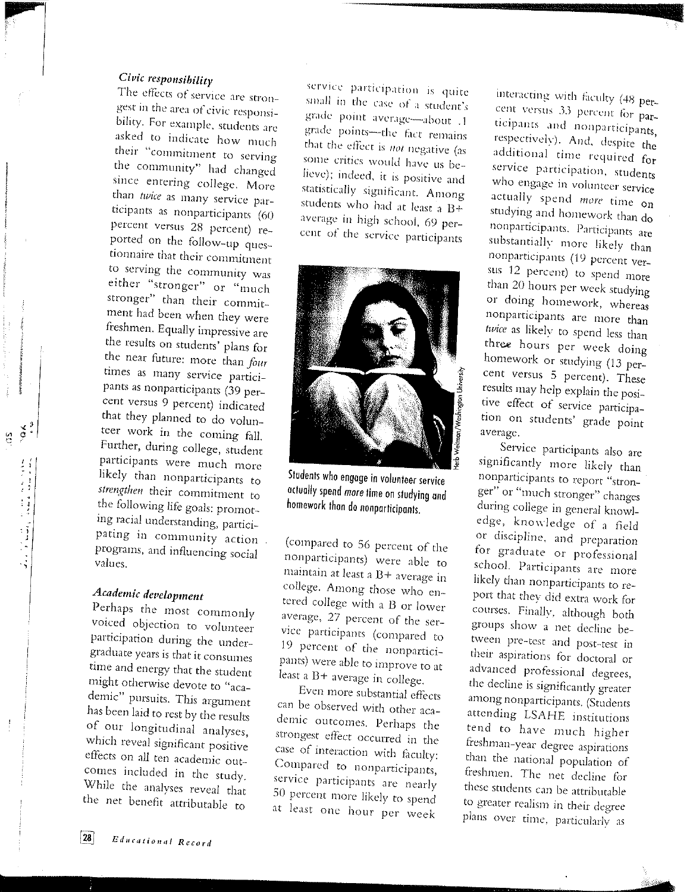# Civic responsibility

The effects of service are strongest in the area of civic responsibility. For example, students are asked to indicate how much their "commitment to serving the community" had changed since entering college. More than twice as many service participants as nonparticipants (60 percent versus 28 percent) reported on the follow-up questionnaire that their commitment to serving the community was either "stronger" or "much stronger" than their commitment had been when they were freshmen. Equally impressive are the results on students' plans for the near future: more than four times as many service participants as nonparticipants (39 percent versus 9 percent) indicated that they planned to do volunteer work in the coming fall. Further, during college, student participants were much more likely than nonparticipants to strengthen their commitment to the following life goals: promoting racial understanding, participating in community action programs, and influencing social values

# Academic development

 $\frac{8}{5}$   $\frac{8}{5}$ 

 $\begin{array}{l} \mathcal{L}_{\mathcal{A},\mathcal{B}}(\mathcal{A},\mathcal{A})=\mathcal{L}_{\mathcal{A},\mathcal{B}}(\mathcal{A},\mathcal{A})\\ \mathcal{L}_{\mathcal{A},\mathcal{B}}(\mathcal{A},\mathcal{A})=\mathcal{L}_{\mathcal{A},\mathcal{B}}(\mathcal{A},\mathcal{A})\\ \mathcal{L}_{\mathcal{A},\mathcal{B}}(\mathcal{A},\mathcal{A})=\mathcal{L}_{\mathcal{A},\mathcal{B}}(\mathcal{A},\mathcal{A})\\ \mathcal{L}_{\mathcal{A},\mathcal{B}}(\mathcal{A},\mathcal{A})$ 

Perhaps the most commonly voiced objection to volunteer participation during the undergraduate years is that it consumes time and energy that the student might otherwise devote to "academic" pursuits. This argument has been laid to rest by the results of our longitudinal analyses, which reveal significant positive effects on all ten academic outcomes included in the study. While the analyses reveal that the net benefit attributable to

service participation is quite small in the case of a student's grade point average-about .1 grade points-the fact remains that the effect is not negative (as some critics would have us believe); indeed, it is positive and statistically significant. Among students who had at least a B+ average in high school, 69 percent of the service participants



Students who engage in volunteer service actually spend more time on studying and homework than do nonparticipants.

(compared to 56 percent of the nonparticipants) were able to maintain at least a B+ average in college. Among those who entered college with a B or lower average, 27 percent of the service participants (compared to 19 percent of the nonparticipants) were able to improve to at least a B+ average in college.

Even more substantial effects can be observed with other academic outcomes. Perhaps the strongest effect occurred in the case of interaction with faculty: Compared to nonparticipants, service participants are nearly 50 percent more likely to spend at least one hour per week

interacting with faculty (48 percent versus 33 percent for participants and nonparticipants, respectively). And, despite the additional time required for service participation, students who engage in volunteer service actually spend more time on studying and homework than do nonparticipants. Participants are substantially more likely than nonparticipants (19 percent versus 12 percent) to spend more than 20 hours per week studying or doing homework, whereas nonparticipants are more than twice as likely to spend less than three hours per week doing homework or studying (13 percent versus 5 percent). These results may help explain the positive effect of service participation on students' grade point average.

Service participants also are significantly more likely than nonparticipants to report "stronger" or "much stronger" changes during college in general knowledge, knowledge of a field or discipline, and preparation for graduate or professional school. Participants are more likely than nonparticipants to report that they did extra work for courses. Finally, although both groups show a net decline between pre-test and post-test in their aspirations for doctoral or advanced professional degrees, the decline is significantly greater among nonparticipants. (Students attending LSAHE institutions tend to have much higher freshman-year degree aspirations than the national population of freshmen. The net decline for these students can be attributable to greater realism in their degree plans over time, particularly as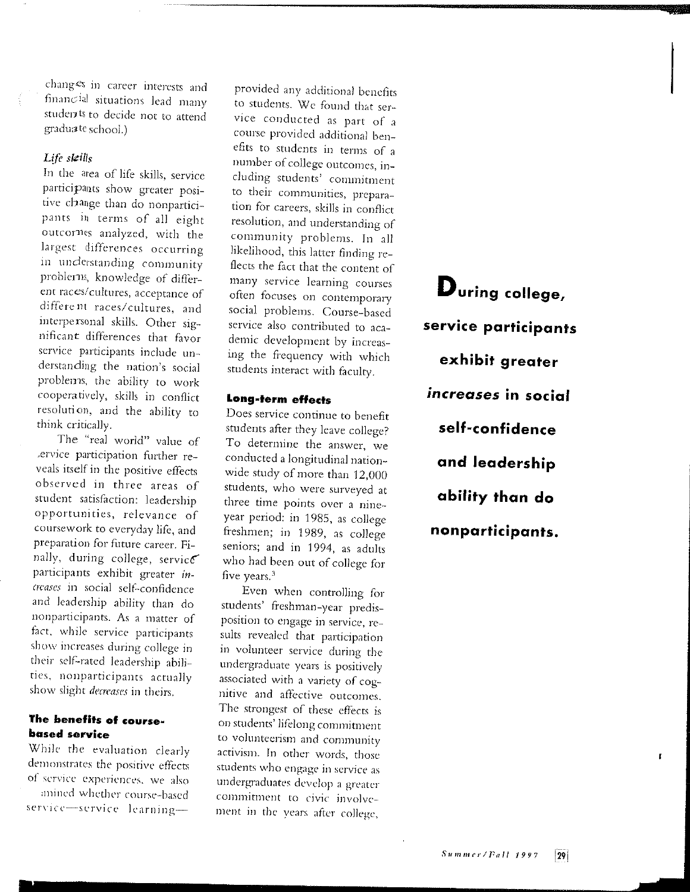changes in career interests and financial situations lead many students to decide not to attend graduate school.)

#### *Life shtills*

In the area of life skills. service participants show greater positive change than do nonparticipants in terms of all eight outcornes analyzed, with the largest differences occurring in understanding community problems, knowledge of different races/cultures, acceptance of different races/ cultures, and interpersonal skills. Other significant differences that favor service participants include understanding the nation's social problems, the ability to work cooperatively, skills in conflict resolution, and the ability to think critically.

The "real world" value of >enrice participation further reveals itself in the positive effects observed in three areas of student satisfaction: leadership opportunities, relevance of courscwork to everyday life, and preparation for future career. Finally, during college, service participants exhibit greater *increases* in social self-confidence and leadership ability than do nonparticipants. As a matter of fact, while service participants show increases during college in their self-rated leadership abilities, nonparticipants actually show slight *decreases* in theirs.

## The benefits of course· based service

While the evaluation clearly demonstrates the positive effects of service experiences, we also :mined whether course-based service-service learning-

provided any additional benefits to students. We found that service conducted as part of a course provided additional benefits to students in terms of a number of college outcomes, including students' commitment to their communities, preparation for careers, skills in conflict resolution, and understanding of community problems. In all likelihood, this latter finding reflects the fact that the content of many service learning courses often focuses on contemporary social problems. Course-based service also contributed to academic development by increasing the frequency with which students interact with faculty.

## Long-term eHects

Does service continue to benefit students after they leave college? To determine the answer, we conducted a longitudinal nationwide study of more than 12,000 students, who were surveyed at three time points over a nineyear period: in 1985, as college freshmen; in 1989, as college seniors; and in 1994, as adults who had been out of college for five years. 3

Even when controlling for students' freshman-year predisposition to engage in service, resuits revealed that participation in volunteer service during the undergraduate years is positively associated with a variety of cognitive and affective outcomes. The strongest of these effects is on students' lifelong commitment to volunteerism and community activism. In other words, those students who engage in service as undergraduates develop a greater commitment to civic involvement in the years after college,

During college, service participants exhibit greater *increases* in social self-confidence and leadership ability than do nonparticipants.

 $\mathbf{r}$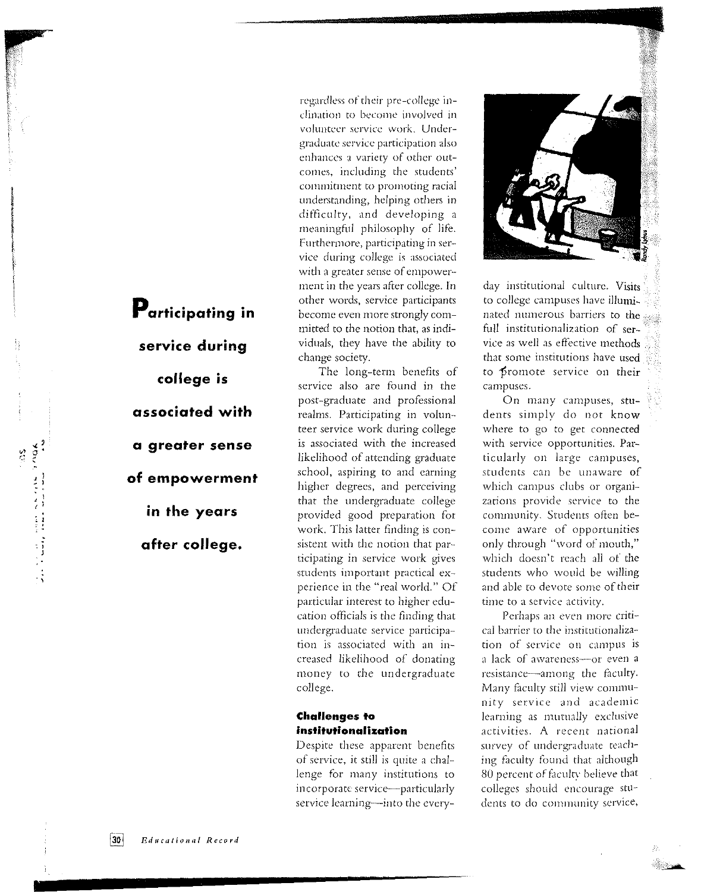regardless or' their pre-college inclination to become involved in volunteer service work. Undergraduate service participation also enhances a variety of other outcomes, including the students' commitment to promoting racial understanding, helping others in difficulty, and developing a meaningful philosophy of life. Furthermore, participating in service during college is associated with a greater sense of empowerment in the years after college. In other words, service participants become even more strongly committed to the notion that, as individuals, they have the ability to change society.

The long-term benefits of service also are found in the post-graduate and professional realms. Participating in volunteer service work during college is associated with the increased likelihood of attending graduate school, aspiring to and earning higher degrees, and perceiving that the undergraduate college provided good preparation for work. This latter finding is consistent with the notion that participating in service work gives students important practical experience in the "real world." Of particular interest to higher education officials is the finding that undergraduate service participation is associated with an increased likelihood of donating money to the undergraduate college.

#### Challenges to institutionalization

Despite these apparent benefits of service, it still is quite a challenge for many institutions to incorporate service-particularly service learning-into the every-



day institutional culture. Visits to college campuses have illuminated numerous barriers to the full institutionalization of service as well as effective methods that some institutions have used to promote service on their campuses.

On many campuses, students simply do not know where to go to get connected with service opportunities. Particularly on large campuses, students can *be* unaware of which campus clubs or organizations provide service to the comnwnity. Students often become aware of opportunities only through "word of mouth," which doesn't reach all of the students who would be willing and able to devote some of their time to a service activity.

Perhaps an even more critical barrier to the institutionalization of service on campus is a lack of awareness-or even a resistance-among the faculty. Many faculty still view community service and academic learning as mutually exclusive activities. A recent national survey of undergraduate teaching faculty found that although 80 percent of faculty believe that colleges should encourage students to do community service,

Participating in service during college is associated with a greater sense of empowerment in the years after college.

r . .

 $\frac{1}{2}$  )  $\frac{1}{2}$ 

; I ' ' <sup>~</sup>: . :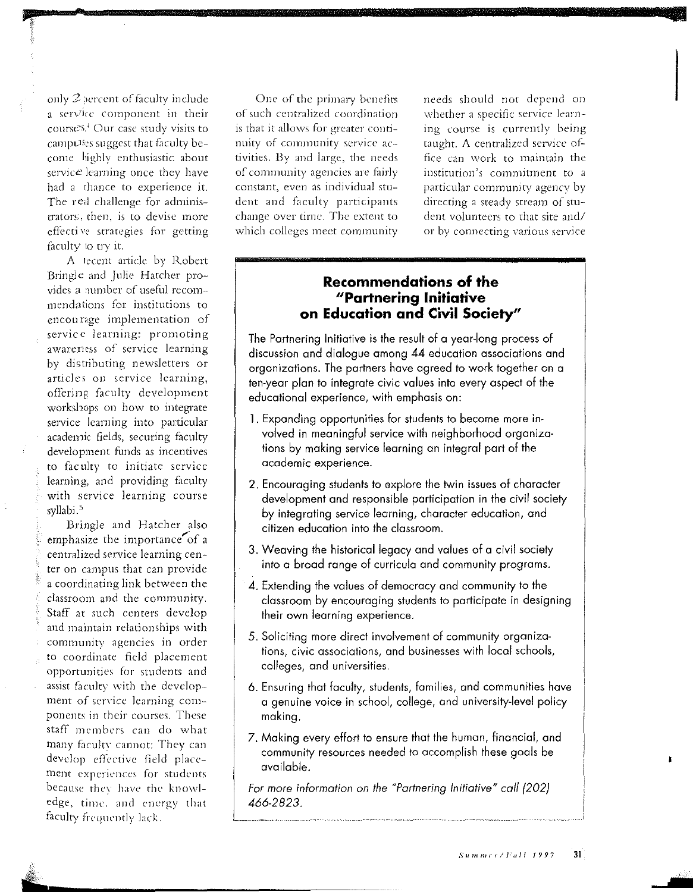only  $2$  percent of faculty include a service component in their cours $e^{-s}$  Our case study visits to camputses suggest that faculty become highly enthusiastic about service learning once they have had a dunce to experience it. The real challenge for administrators, then, is to devise more effecti ve strategies for getting faculty to try it.

A recent article by Robert Bringle and Julie Hatcher provides a number of useful recommendations for institutions to cncou nge implementation of service learning: promoting awareness of service learning by distributing newsletters or articles on service learning, offering faculty development workshops on how to integrate service learning into particular academic fields, securing faculty development funds as incentives to faculty to initiate service learning, and providing faculty with service learning course syllabi.<sup>5</sup>

Bringle and Hatcher also emphasize the importance of a centralized service learning center on campus that can provide a coordinating link between the classroom and the community. Staff at such centers develop and maintain relationships with community agencies in order to coordinate field placement opportunities for students and assist faculty with the development of service learning components in their courses. These staff members can do what many faculty cannot: They can develop effective field placement experiences for students because they have the knowledge, time. and energy that faculty frequently lack.

One of the primary benefits of such centralized coordination is that it allows for greater continuity of community service activities. By and large, the needs of community agencies are fairly constant, even as individual stu-· dent and faculty participants change over time. The extent to which colleges meet community needs should not depend on whether a specific service learning course is currently being taught. A centralized service office can work to maintain the institution's commitment to a particular community agency by directing a steady stream of student volunteers to that site and/ or by connecting various service

# **Recommendations of the "Partnering Initiative on Education and Civil Society"**

The Partnering Initiative is the result of a year-long process of discussion and dialogue among 44 education associations and organizations. The partners have agreed to work together on a ten-year plan to integrate civic values into every aspect of the educational experience, with emphasis on:

- 1. Expanding opportunities for students to become more invalved in meaningful service with neighborhood organizations by making service learning an integral part of the academic experience.
- 2. Encouraging students to explore the twin issues of character development and responsible participation in the civil society by integrating service learning, character education, and citizen education into the classroom.
- 3. Weaving the historical legacy and values of a civil society into a broad range of curricula and community programs.
- 4. Extending the values of democracy and community to the classroom by encouraging students to participate in designing their own learning experience.
- 5. Soliciting more direct involvement of community organizations, civic associations, and businesses with local schools, colleges, and universities.
- 6. Ensuring that faculty, students, families, and communities have a genuine voice in school, college, and university-level policy making.
- 7. Making every effort to ensure that the human, financial, and community resources needed to accomplish these goals be available.

*For more information on the "Partnering Initiative" call (202) 466-2823.*